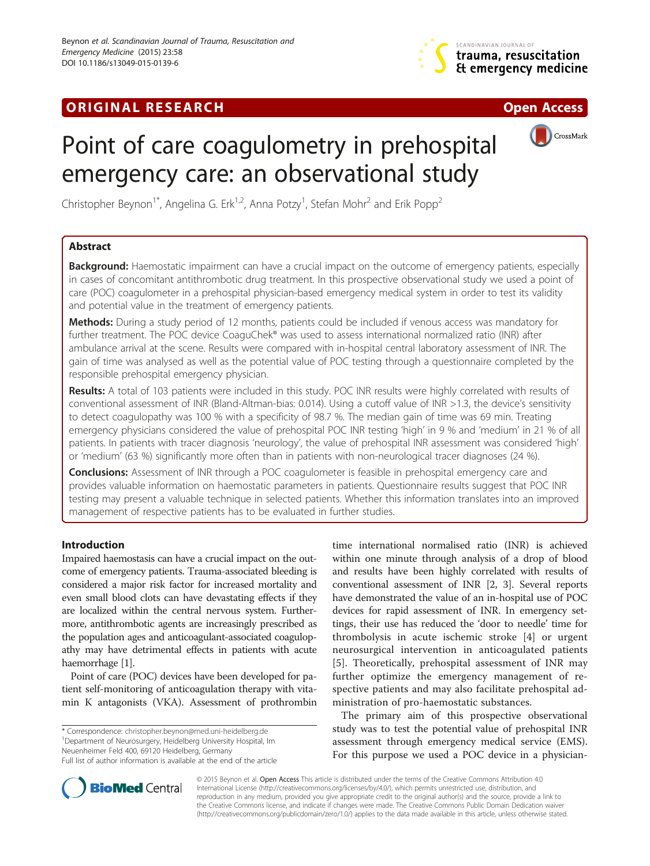# **ORIGINAL RESEARCH CONFIDENTIAL CONSUMING A LIGHT CONFIDENTIAL CONSUMING A LIGHT CONFIDENTIAL CONFIDENTIAL CONSU**



# Point of care coagulometry in prehospital emergency care: an observational study

CrossMark

Christopher Beynon<sup>1\*</sup>, Angelina G. Erk<sup>1,2</sup>, Anna Potzy<sup>1</sup>, Stefan Mohr<sup>2</sup> and Erik Popp<sup>2</sup>

# Abstract

Background: Haemostatic impairment can have a crucial impact on the outcome of emergency patients, especially in cases of concomitant antithrombotic drug treatment. In this prospective observational study we used a point of care (POC) coagulometer in a prehospital physician-based emergency medical system in order to test its validity and potential value in the treatment of emergency patients.

Methods: During a study period of 12 months, patients could be included if venous access was mandatory for further treatment. The POC device CoaguChek® was used to assess international normalized ratio (INR) after ambulance arrival at the scene. Results were compared with in-hospital central laboratory assessment of INR. The gain of time was analysed as well as the potential value of POC testing through a questionnaire completed by the responsible prehospital emergency physician.

Results: A total of 103 patients were included in this study. POC INR results were highly correlated with results of conventional assessment of INR (Bland-Altman-bias: 0.014). Using a cutoff value of INR >1.3, the device's sensitivity to detect coagulopathy was 100 % with a specificity of 98.7 %. The median gain of time was 69 min. Treating emergency physicians considered the value of prehospital POC INR testing 'high' in 9 % and 'medium' in 21 % of all patients. In patients with tracer diagnosis 'neurology', the value of prehospital INR assessment was considered 'high' or 'medium' (63 %) significantly more often than in patients with non-neurological tracer diagnoses (24 %).

**Conclusions:** Assessment of INR through a POC coagulometer is feasible in prehospital emergency care and provides valuable information on haemostatic parameters in patients. Questionnaire results suggest that POC INR testing may present a valuable technique in selected patients. Whether this information translates into an improved management of respective patients has to be evaluated in further studies.

# Introduction

Impaired haemostasis can have a crucial impact on the outcome of emergency patients. Trauma-associated bleeding is considered a major risk factor for increased mortality and even small blood clots can have devastating effects if they are localized within the central nervous system. Furthermore, antithrombotic agents are increasingly prescribed as the population ages and anticoagulant-associated coagulopathy may have detrimental effects in patients with acute haemorrhage [[1\]](#page-5-0).

Point of care (POC) devices have been developed for patient self-monitoring of anticoagulation therapy with vitamin K antagonists (VKA). Assessment of prothrombin

\* Correspondence: [christopher.beynon@med.uni-heidelberg.de](mailto:christopher.beynon@med.uni-heidelberg.de) <sup>1</sup> <sup>1</sup>Department of Neurosurgery, Heidelberg University Hospital, Im

Neuenheimer Feld 400, 69120 Heidelberg, Germany

time international normalised ratio (INR) is achieved within one minute through analysis of a drop of blood and results have been highly correlated with results of conventional assessment of INR [[2, 3\]](#page-5-0). Several reports have demonstrated the value of an in-hospital use of POC devices for rapid assessment of INR. In emergency settings, their use has reduced the 'door to needle' time for thrombolysis in acute ischemic stroke [[4\]](#page-5-0) or urgent neurosurgical intervention in anticoagulated patients [[5](#page-5-0)]. Theoretically, prehospital assessment of INR may further optimize the emergency management of respective patients and may also facilitate prehospital administration of pro-haemostatic substances.

The primary aim of this prospective observational study was to test the potential value of prehospital INR assessment through emergency medical service (EMS). For this purpose we used a POC device in a physician-



© 2015 Beynon et al. Open Access This article is distributed under the terms of the Creative Commons Attribution 4.0 International License [\(http://creativecommons.org/licenses/by/4.0/](http://creativecommons.org/licenses/by/4.0)), which permits unrestricted use, distribution, and reproduction in any medium, provided you give appropriate credit to the original author(s) and the source, provide a link to the Creative Commons license, and indicate if changes were made. The Creative Commons Public Domain Dedication waiver [\(http://creativecommons.org/publicdomain/zero/1.0/](http://creativecommons.org/publicdomain/zero/1.0/)) applies to the data made available in this article, unless otherwise stated.

Full list of author information is available at the end of the article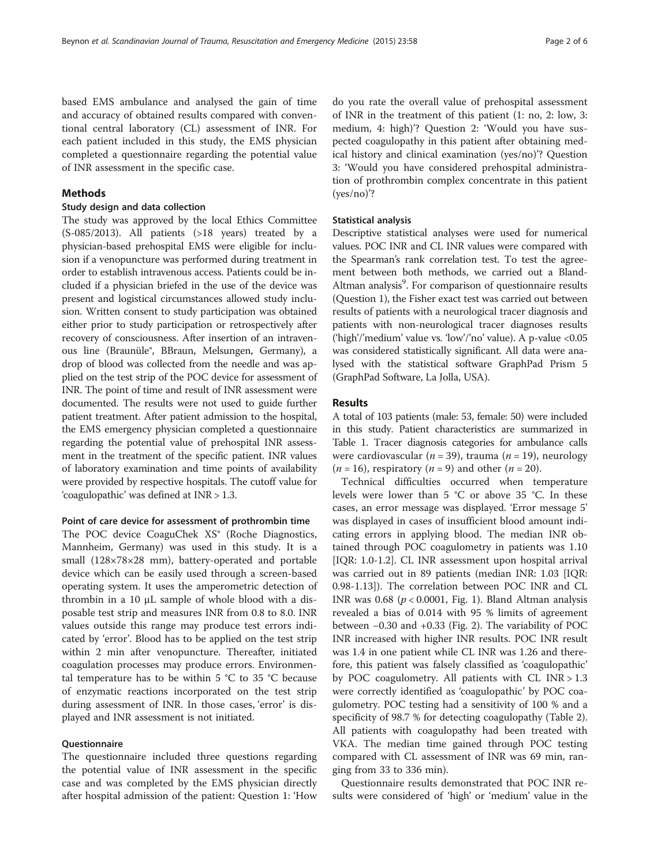based EMS ambulance and analysed the gain of time and accuracy of obtained results compared with conventional central laboratory (CL) assessment of INR. For each patient included in this study, the EMS physician completed a questionnaire regarding the potential value of INR assessment in the specific case.

## Methods

#### Study design and data collection

The study was approved by the local Ethics Committee  $(S-085/2013)$ . All patients  $(>18$  years) treated by a physician-based prehospital EMS were eligible for inclusion if a venopuncture was performed during treatment in order to establish intravenous access. Patients could be included if a physician briefed in the use of the device was present and logistical circumstances allowed study inclusion. Written consent to study participation was obtained either prior to study participation or retrospectively after recovery of consciousness. After insertion of an intravenous line (Braunüle®, BBraun, Melsungen, Germany), a drop of blood was collected from the needle and was applied on the test strip of the POC device for assessment of INR. The point of time and result of INR assessment were documented. The results were not used to guide further patient treatment. After patient admission to the hospital, the EMS emergency physician completed a questionnaire regarding the potential value of prehospital INR assessment in the treatment of the specific patient. INR values of laboratory examination and time points of availability were provided by respective hospitals. The cutoff value for 'coagulopathic' was defined at INR > 1.3.

#### Point of care device for assessment of prothrombin time

The POC device CoaguChek XS® (Roche Diagnostics, Mannheim, Germany) was used in this study. It is a small (128×78×28 mm), battery-operated and portable device which can be easily used through a screen-based operating system. It uses the amperometric detection of thrombin in a 10 μL sample of whole blood with a disposable test strip and measures INR from 0.8 to 8.0. INR values outside this range may produce test errors indicated by 'error'. Blood has to be applied on the test strip within 2 min after venopuncture. Thereafter, initiated coagulation processes may produce errors. Environmental temperature has to be within 5  $\degree$ C to 35  $\degree$ C because of enzymatic reactions incorporated on the test strip during assessment of INR. In those cases, 'error' is displayed and INR assessment is not initiated.

## Questionnaire

The questionnaire included three questions regarding the potential value of INR assessment in the specific case and was completed by the EMS physician directly after hospital admission of the patient: Question 1: 'How

do you rate the overall value of prehospital assessment of INR in the treatment of this patient (1: no, 2: low, 3: medium, 4: high)'? Question 2: 'Would you have suspected coagulopathy in this patient after obtaining medical history and clinical examination (yes/no)'? Question 3: 'Would you have considered prehospital administration of prothrombin complex concentrate in this patient (yes/no)'?

# Statistical analysis

Descriptive statistical analyses were used for numerical values. POC INR and CL INR values were compared with the Spearman's rank correlation test. To test the agreement between both methods, we carried out a Bland-Altman analysis<sup>9</sup>. For comparison of questionnaire results (Question 1), the Fisher exact test was carried out between results of patients with a neurological tracer diagnosis and patients with non-neurological tracer diagnoses results ('high'/'medium' value vs. 'low'/'no' value). A p-value <0.05 was considered statistically significant. All data were analysed with the statistical software GraphPad Prism 5 (GraphPad Software, La Jolla, USA).

#### Results

A total of 103 patients (male: 53, female: 50) were included in this study. Patient characteristics are summarized in Table [1.](#page-2-0) Tracer diagnosis categories for ambulance calls were cardiovascular ( $n = 39$ ), trauma ( $n = 19$ ), neurology  $(n = 16)$ , respiratory  $(n = 9)$  and other  $(n = 20)$ .

Technical difficulties occurred when temperature levels were lower than 5 °C or above 35 °C. In these cases, an error message was displayed. 'Error message 5' was displayed in cases of insufficient blood amount indicating errors in applying blood. The median INR obtained through POC coagulometry in patients was 1.10 [IQR: 1.0-1.2]. CL INR assessment upon hospital arrival was carried out in 89 patients (median INR: 1.03 [IQR: 0.98-1.13]). The correlation between POC INR and CL INR was  $0.68$  ( $p < 0.0001$ , Fig. [1](#page-2-0)). Bland Altman analysis revealed a bias of 0.014 with 95 % limits of agreement between −0.30 and +0.33 (Fig. [2\)](#page-3-0). The variability of POC INR increased with higher INR results. POC INR result was 1.4 in one patient while CL INR was 1.26 and therefore, this patient was falsely classified as 'coagulopathic' by POC coagulometry. All patients with CL INR > 1.3 were correctly identified as 'coagulopathic' by POC coagulometry. POC testing had a sensitivity of 100 % and a specificity of 98.7 % for detecting coagulopathy (Table [2](#page-3-0)). All patients with coagulopathy had been treated with VKA. The median time gained through POC testing compared with CL assessment of INR was 69 min, ranging from 33 to 336 min).

Questionnaire results demonstrated that POC INR results were considered of 'high' or 'medium' value in the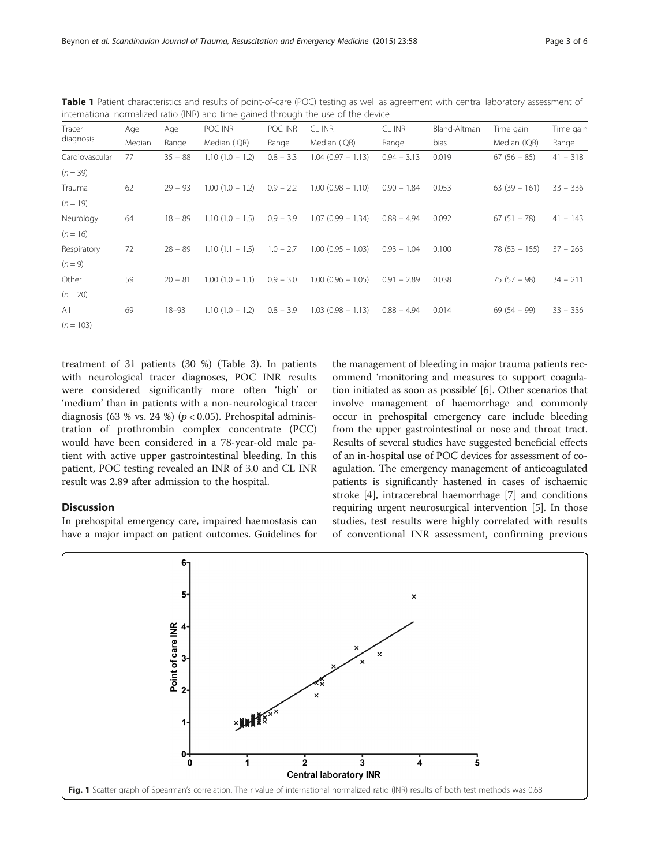| Tracer<br>diagnosis | Age    | Age       | POC INR           | POC INR     | CL INR                 | CL INR        | Bland-Altman | Time gain      | Time gain  |
|---------------------|--------|-----------|-------------------|-------------|------------------------|---------------|--------------|----------------|------------|
|                     | Median | Range     | Median (IQR)      | Range       | Median (IQR)           | Range         | bias         | Median (IQR)   | Range      |
| Cardiovascular      | 77     | $35 - 88$ | $1.10(1.0 - 1.2)$ | $0.8 - 3.3$ | $1.04(0.97 - 1.13)$    | $0.94 - 3.13$ | 0.019        | $67(56 - 85)$  | $41 - 318$ |
| $(n = 39)$          |        |           |                   |             |                        |               |              |                |            |
| Trauma              | 62     | $29 - 93$ | $1.00(1.0 - 1.2)$ | $0.9 - 2.2$ | $1.00(0.98 - 1.10)$    | $0.90 - 1.84$ | 0.053        | $63(39 - 161)$ | $33 - 336$ |
| $(n = 19)$          |        |           |                   |             |                        |               |              |                |            |
| Neurology           | 64     | $18 - 89$ | $1.10(1.0 - 1.5)$ | $0.9 - 3.9$ | $1.07(0.99 - 1.34)$    | $0.88 - 4.94$ | 0.092        | $67(51 - 78)$  | $41 - 143$ |
| $(n = 16)$          |        |           |                   |             |                        |               |              |                |            |
| Respiratory         | 72     | $28 - 89$ | $1.10(1.1 - 1.5)$ | $1.0 - 2.7$ | $1.00$ (0.95 $-1.03$ ) | $0.93 - 1.04$ | 0.100        | $78(53 - 155)$ | $37 - 263$ |
| $(n = 9)$           |        |           |                   |             |                        |               |              |                |            |
| Other               | 59     | $20 - 81$ | $1.00(1.0 - 1.1)$ | $0.9 - 3.0$ | $1.00$ (0.96 - 1.05)   | $0.91 - 2.89$ | 0.038        | $75(57 - 98)$  | $34 - 211$ |
| $(n = 20)$          |        |           |                   |             |                        |               |              |                |            |
| All                 | 69     | $18 - 93$ | $1.10(1.0 - 1.2)$ | $0.8 - 3.9$ | $1.03(0.98 - 1.13)$    | $0.88 - 4.94$ | 0.014        | $69(54 - 99)$  | $33 - 336$ |
| $(n = 103)$         |        |           |                   |             |                        |               |              |                |            |

<span id="page-2-0"></span>Table 1 Patient characteristics and results of point-of-care (POC) testing as well as agreement with central laboratory assessment of international normalized ratio (INR) and time gained through the use of the device

treatment of 31 patients (30 %) (Table [3](#page-4-0)). In patients with neurological tracer diagnoses, POC INR results were considered significantly more often 'high' or 'medium' than in patients with a non-neurological tracer diagnosis (63 % vs. 24 %) ( $p < 0.05$ ). Prehospital administration of prothrombin complex concentrate (PCC) would have been considered in a 78-year-old male patient with active upper gastrointestinal bleeding. In this patient, POC testing revealed an INR of 3.0 and CL INR result was 2.89 after admission to the hospital.

### **Discussion**

In prehospital emergency care, impaired haemostasis can have a major impact on patient outcomes. Guidelines for

the management of bleeding in major trauma patients recommend 'monitoring and measures to support coagulation initiated as soon as possible' [\[6](#page-5-0)]. Other scenarios that involve management of haemorrhage and commonly occur in prehospital emergency care include bleeding from the upper gastrointestinal or nose and throat tract. Results of several studies have suggested beneficial effects of an in-hospital use of POC devices for assessment of coagulation. The emergency management of anticoagulated patients is significantly hastened in cases of ischaemic stroke [[4](#page-5-0)], intracerebral haemorrhage [[7](#page-5-0)] and conditions requiring urgent neurosurgical intervention [\[5](#page-5-0)]. In those studies, test results were highly correlated with results of conventional INR assessment, confirming previous

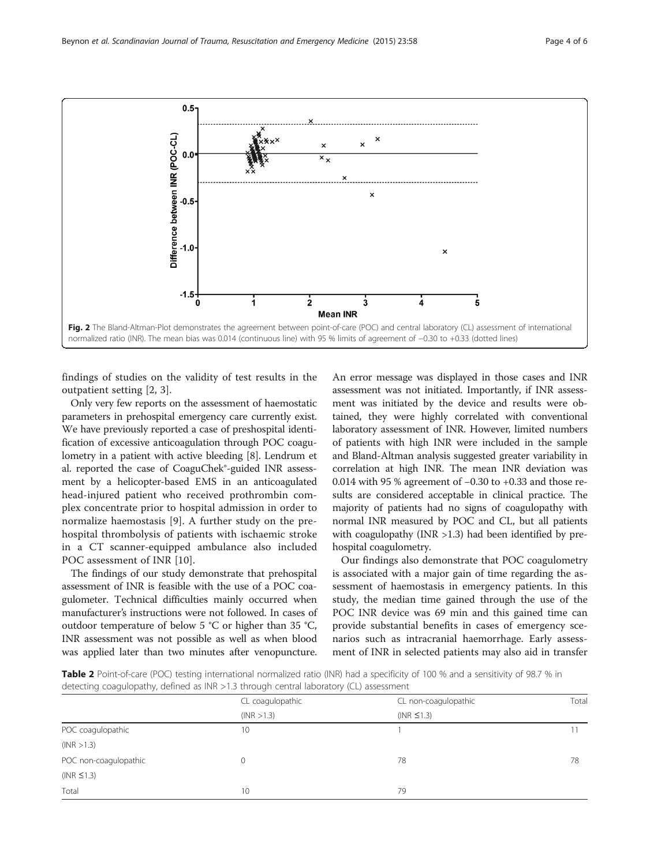<span id="page-3-0"></span>

findings of studies on the validity of test results in the outpatient setting [[2, 3\]](#page-5-0).

Only very few reports on the assessment of haemostatic parameters in prehospital emergency care currently exist. We have previously reported a case of preshospital identification of excessive anticoagulation through POC coagulometry in a patient with active bleeding [\[8\]](#page-5-0). Lendrum et al. reported the case of CoaguChek®-guided INR assessment by a helicopter-based EMS in an anticoagulated head-injured patient who received prothrombin complex concentrate prior to hospital admission in order to normalize haemostasis [[9\]](#page-5-0). A further study on the prehospital thrombolysis of patients with ischaemic stroke in a CT scanner-equipped ambulance also included POC assessment of INR [\[10](#page-5-0)].

The findings of our study demonstrate that prehospital assessment of INR is feasible with the use of a POC coagulometer. Technical difficulties mainly occurred when manufacturer's instructions were not followed. In cases of outdoor temperature of below 5 °C or higher than 35 °C, INR assessment was not possible as well as when blood was applied later than two minutes after venopuncture.

An error message was displayed in those cases and INR assessment was not initiated. Importantly, if INR assessment was initiated by the device and results were obtained, they were highly correlated with conventional laboratory assessment of INR. However, limited numbers of patients with high INR were included in the sample and Bland-Altman analysis suggested greater variability in correlation at high INR. The mean INR deviation was 0.014 with 95 % agreement of −0.30 to +0.33 and those results are considered acceptable in clinical practice. The majority of patients had no signs of coagulopathy with normal INR measured by POC and CL, but all patients with coagulopathy (INR >1.3) had been identified by prehospital coagulometry.

Our findings also demonstrate that POC coagulometry is associated with a major gain of time regarding the assessment of haemostasis in emergency patients. In this study, the median time gained through the use of the POC INR device was 69 min and this gained time can provide substantial benefits in cases of emergency scenarios such as intracranial haemorrhage. Early assessment of INR in selected patients may also aid in transfer

Table 2 Point-of-care (POC) testing international normalized ratio (INR) had a specificity of 100 % and a sensitivity of 98.7 % in detecting coagulopathy, defined as INR >1.3 through central laboratory (CL) assessment

|                       | CL coagulopathic | CL non-coagulopathic | Tota |  |
|-----------------------|------------------|----------------------|------|--|
|                       | (INR > 1.3)      | $(NR \leq 1.3)$      |      |  |
| POC coagulopathic     | 10               |                      |      |  |
| (NR > 1.3)            |                  |                      |      |  |
| POC non-coagulopathic | 0                | 78                   | 78   |  |
| $(NR \leq 1.3)$       |                  |                      |      |  |
| Total                 | 10               | 79                   |      |  |
|                       |                  |                      |      |  |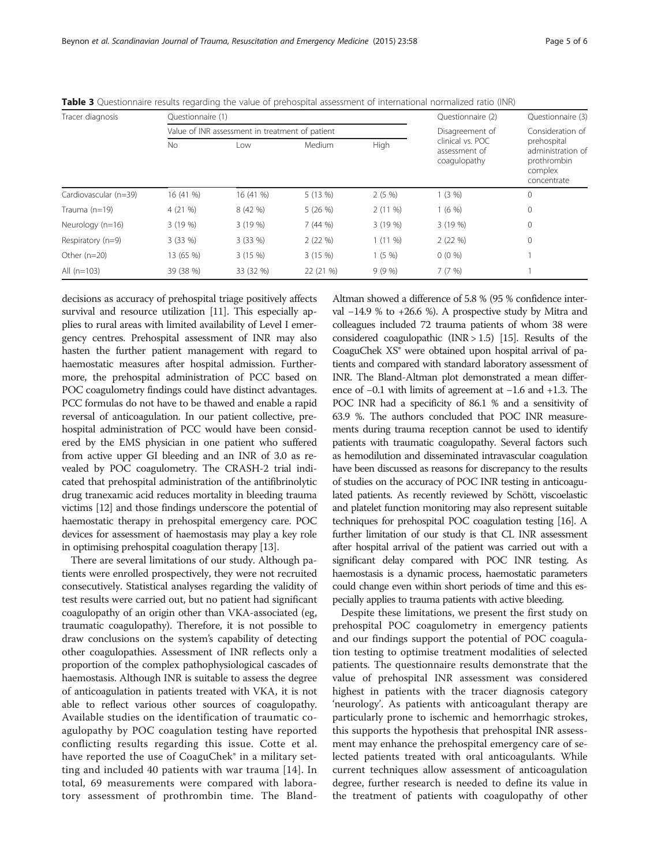| Tracer diagnosis      | Questionnaire (1) |                                                 |           | Questionnaire (2) | Questionnaire (3)<br>Consideration of             |                                                                           |
|-----------------------|-------------------|-------------------------------------------------|-----------|-------------------|---------------------------------------------------|---------------------------------------------------------------------------|
|                       |                   | Value of INR assessment in treatment of patient |           | Disagreement of   |                                                   |                                                                           |
|                       | No                | Low                                             | Medium    | <b>High</b>       | clinical vs. POC<br>assessment of<br>coagulopathy | prehospital<br>administration of<br>prothrombin<br>complex<br>concentrate |
| Cardiovascular (n=39) | 16 (41 %)         | 16 (41 %)                                       | 5 (13 %)  | 2(5%              | 1(3%)                                             | 0                                                                         |
| Trauma (n=19)         | 4(21%             | 8 (42 %)                                        | 5(26%)    | $2(11\%)$         | 1(6%)                                             | $\mathbf 0$                                                               |
| Neurology (n=16)      | 3(19%)            | 3 (19 %)                                        | 7(44%)    | 3 (19 %)          | 3(19%)                                            | 0                                                                         |
| Respiratory $(n=9)$   | $3(33\%)$         | $3(33\%)$                                       | 2(22%)    | $1(11\%)$         | 2(22%)                                            | 0                                                                         |
| Other $(n=20)$        | 13 (65 %)         | 3 (15 %)                                        | 3(15%)    | 1(5%              | $0(0\%)$                                          |                                                                           |
| All $(n=103)$         | 39 (38 %)         | 33 (32 %)                                       | 22 (21 %) | 9(9%              | 7(7%)                                             |                                                                           |

<span id="page-4-0"></span>Table 3 Questionnaire results regarding the value of prehospital assessment of international normalized ratio (INR)

decisions as accuracy of prehospital triage positively affects survival and resource utilization [\[11\]](#page-5-0). This especially applies to rural areas with limited availability of Level I emergency centres. Prehospital assessment of INR may also hasten the further patient management with regard to haemostatic measures after hospital admission. Furthermore, the prehospital administration of PCC based on POC coagulometry findings could have distinct advantages. PCC formulas do not have to be thawed and enable a rapid reversal of anticoagulation. In our patient collective, prehospital administration of PCC would have been considered by the EMS physician in one patient who suffered from active upper GI bleeding and an INR of 3.0 as revealed by POC coagulometry. The CRASH-2 trial indicated that prehospital administration of the antifibrinolytic drug tranexamic acid reduces mortality in bleeding trauma victims [[12](#page-5-0)] and those findings underscore the potential of haemostatic therapy in prehospital emergency care. POC devices for assessment of haemostasis may play a key role in optimising prehospital coagulation therapy [\[13\]](#page-5-0).

There are several limitations of our study. Although patients were enrolled prospectively, they were not recruited consecutively. Statistical analyses regarding the validity of test results were carried out, but no patient had significant coagulopathy of an origin other than VKA-associated (eg, traumatic coagulopathy). Therefore, it is not possible to draw conclusions on the system's capability of detecting other coagulopathies. Assessment of INR reflects only a proportion of the complex pathophysiological cascades of haemostasis. Although INR is suitable to assess the degree of anticoagulation in patients treated with VKA, it is not able to reflect various other sources of coagulopathy. Available studies on the identification of traumatic coagulopathy by POC coagulation testing have reported conflicting results regarding this issue. Cotte et al. have reported the use of CoaguChek<sup>®</sup> in a military setting and included 40 patients with war trauma [[14\]](#page-5-0). In total, 69 measurements were compared with laboratory assessment of prothrombin time. The BlandAltman showed a difference of 5.8 % (95 % confidence interval −14.9 % to +26.6 %). A prospective study by Mitra and colleagues included 72 trauma patients of whom 38 were considered coagulopathic (INR > 1.5) [\[15](#page-5-0)]. Results of the CoaguChek XS® were obtained upon hospital arrival of patients and compared with standard laboratory assessment of INR. The Bland-Altman plot demonstrated a mean difference of −0.1 with limits of agreement at −1.6 and +1.3. The POC INR had a specificity of 86.1 % and a sensitivity of 63.9 %. The authors concluded that POC INR measurements during trauma reception cannot be used to identify patients with traumatic coagulopathy. Several factors such as hemodilution and disseminated intravascular coagulation have been discussed as reasons for discrepancy to the results of studies on the accuracy of POC INR testing in anticoagulated patients. As recently reviewed by Schött, viscoelastic and platelet function monitoring may also represent suitable techniques for prehospital POC coagulation testing [[16](#page-5-0)]. A further limitation of our study is that CL INR assessment after hospital arrival of the patient was carried out with a significant delay compared with POC INR testing. As haemostasis is a dynamic process, haemostatic parameters could change even within short periods of time and this especially applies to trauma patients with active bleeding.

Despite these limitations, we present the first study on prehospital POC coagulometry in emergency patients and our findings support the potential of POC coagulation testing to optimise treatment modalities of selected patients. The questionnaire results demonstrate that the value of prehospital INR assessment was considered highest in patients with the tracer diagnosis category 'neurology'. As patients with anticoagulant therapy are particularly prone to ischemic and hemorrhagic strokes, this supports the hypothesis that prehospital INR assessment may enhance the prehospital emergency care of selected patients treated with oral anticoagulants. While current techniques allow assessment of anticoagulation degree, further research is needed to define its value in the treatment of patients with coagulopathy of other